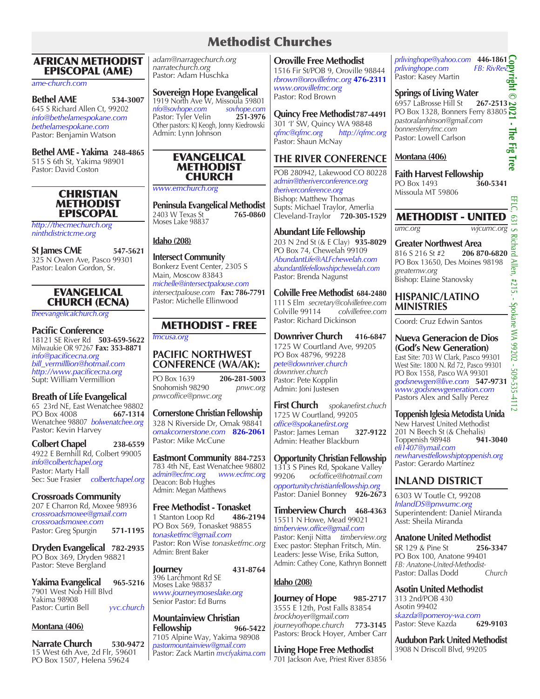# Methodist Churches

#### AFRICAN METHODIST EPISCOPAL (AME)

*ame-church.com*

**Bethel AME 534-3007** 645 S Richard Allen Ct, 99202 *info@bethelamespokane.com bethelamespokane.com* Pastor: Benjamin Watson

**Bethel AME - Yakima 248-4865** 515 S 6th St, Yakima 98901 Pastor: David Coston

#### **CHRISTIAN** METHODIST **EPISCOPAL**

*http://thecmechurch.org ninthdistrictcme.org*

**St James CME 547-5621** 325 N Owen Ave, Pasco 99301 Pastor: Lealon Gordon, Sr.

## EVANGELICAL CHURCH (ECNA)

*theevangelicalchurch.org*

## **Pacific Conference**

18121 SE River Rd **503-659-5622** Milwaukie OR 97267 **Fax: 353-8871** *info@pacificecna.org bill\_vermilllion@hotmail.com http://www.pacificecna.org* Supt: William Vermillion

## **Breath of Life Evangelical**

65 23rd NE, East Wenatchee 98802<br>PO Box 4008 667-1314 **PO Box 4008** Wenatchee 98807 *bolwenatchee.org* Pastor: Kevin Harvey

#### **Colbert Chapel 238-6559**

4922 E Bernhill Rd, Colbert 99005 *info@colbertchapel.org* Pastor: Marty Hall Sec: Sue Frasier *colbertchapel.org*

**Crossroads Community**  207 E Charron Rd, Moxee 98936 *crossroadsmoxee@gmail.com crossroadsmoxee.com* Pastor: Greg Spurgin **571-1195**

#### **Dryden Evangelical 782-2935** PO Box 369, Dryden 98821 Pastor: Steve Bergland

**Yakima Evangelical 965-5216** 7901 West Nob Hill Blvd Yakima 98908 Pastor: Curtin Bell *yvc.church*

#### **Montana (406)**

**Narrate Church 530-9472** 15 West 6th Ave, 2d Flr, 59601 PO Box 1507, Helena 59624

*adam@narragechurch.org narratechurch.org* Pastor: Adam Huschka

**Sovereign Hope Evangelical** 1919 North Ave W, Missoula 59801<br>
nfo@sovhope.com sovhope.com *nfo@sovhope.com sovhope.com* Pastor: Tyler Velin Other pastors: KJ Keogh, Jonny Kiedrowski Admin: Lynn Johnson



*www.emchurch.org*

**Peninsula Evangelical Methodist**<br>2403 W Texas St **765-0860** 2403 W Texas St **765-0860**  Moses Lake 98837

### **Idaho (208)**

**Intersect Community** Bonkerz Event Center, 2305 S Main, Moscow 83843 *michelle@intersectpalouse.com intersectpalouse.com* **Fax: 786-7791** Pastor: Michelle Ellinwood

# METHODIST - FREE

*fmcusa.org*

## **PACIFIC NORTHWEST CONFERENCE (WA/AK):**

PO Box 1639 **206-281-5003** Snohomish 98290 *pnwcoffice@pnwc.org*

## **Cornerstone Christian Fellowship**

328 N Riverside Dr, Omak 98841 *omakcornerstone.com* **826-2061** Pastor: Mike McCune

**Eastmont Community 884-7253** 783 4th NE, East Wenatchee 98802 *admin@ecfmc.org www.ecfmc.org* Deacon: Bob Hughes Admin: Megan Matthews

**Free Methodist - Tonasket** 1 Stanton Loop Rd **486-2194** PO Box 569, Tonasket 98855 *tonasketfmc@gmail.com* Pastor: Ron Wise *tonasketfmc.org* Admin: Brent Baker

**Journey 431-8764** 396 Larchmont Rd SE Moses Lake 98837 *www.journeymoseslake.org* Senior Pastor: Ed Burns

**Mountainview Christian Fellowship 966-5422** 7105 Alpine Way, Yakima 98908 *pastormountainview@gmail.com*  Pastor: Zack Martin *mvcfyakima.com*

#### **Oroville Free Methodist**

1516 Fir St/POB 9, Oroville 98844 *rbrown@orovillefmc.org* **476-2311** *www.orovillefmc.org* Pastor: Rod Brown

**Quincy Free Methodist787-4491** 301 'I' SW, Quincy WA 98848<br>gfmc@gfmc.org http://gfmc *qfmc@qfmc.org http://qfmc.org* Pastor: Shaun McNay

# **THE RIVER CONFERENCE**

POB 280942, Lakewood CO 80228 *admin@theriverconference.org theriverconference.org* Bishop: Matthew Thomas Supts: Michael Traylor, Amerlia Cleveland-Traylor **720-305-1529**

**Abundant Life Fellowship** 203 N 2nd St (& E Clay) **935-8029** PO Box 74, Chewelah 99109 *AbundantLife@ALFchewelah.com abundantlifefellowshipchewelah.com* Pastor: Brenda Nagunst

**Colville Free Methodist 684-2480** 111 S Elm *secretary@colvillefree.com* Colville 99114 *colvillefree.com* Pastor: Richard Dickinson

**Downriver Church 416-6847** 1725 W Courtland Ave, 99205 PO Box 48796, 99228 *pete@downriver.church downriver.church*  Pastor: Pete Kopplin Admin: Joni Justesen

**First Church** *spokanefirst.chuch* 1725 W Courtland, 99205 *office@spokanefirst.org* Pastor: James Leman **327-9122** Admin: Heather Blackburn

**Opportunity Christian Fellowship** 1313 S Pines Rd, Spokane Valley<br>99206 octoffice@hotmail.com 99206 *ocfoffice@hotmail.com opportunitychristianfellowship.org* Pastor: Daniel Bonney **926-2673**

**Timberview Church 468-4363** 15511 N Howe, Mead 99021 *timberview.office@gmail.com*  Pastor: Kenji Nitta *timberview.org* Exec pastor: Stephan Fritsch, Min. Leaders: Jesse Wise, Erika Sutton, Admin: Cathey Cone, Kathryn Bonnett

## **Idaho (208)**

**Journey of Hope** 985-2717 3555 E 12th, Post Falls 83854 *brockhoyer@gmail.com journeyofhope.church* **773-3145** Pastors: Brock Hoyer, Amber Carr

**Living Hope Free Methodist** 701 Jackson Ave, Priest River 83856 *prlivinghope@yahoo.com* **446-1861** *prlivinghope.com FB: RivRev* Pastor: Kasey Martin

## **Springs of Living Water**

**Copyright © 2021 - The Fig Tree**  $\odot$ 6957 LaBrosse Hill St **267-2513** PO Box 1328, Bonners Ferry 83805 *pastoralanhinson@gmail.com*  à, *bonnersferryfmc.com* The Fig. Pastor: Lowell Carlson

## **Montana (406)**

**Faith Harvest Fellowship**<br>PO Box 1493 **360-5341 PO Box 1493** Missoula MT 59806

# METHODIST - UNITED

*umc.org wjcumc.org*

**Greater Northwest Area**<br>816 S 216 St #2 **206 870-6820** 816 S 216 St #2 PO Box 13650, Des Moines 98198 *greaternw.org*  Bishop: Elaine Stanovsky

### **HISPANIC/LATINO MINISTRIES**

Coord: Cruz Edwin Santos

### **Nueva Generacion de Dios (God's New Generation)**

East Site: 703 W Clark, Pasco 99301 West Site: 1800 N. Rd 72, Pasco 99301 PO Box 1558, Pasco WA 99301 *godsnewgen@live.com* **547-9731** *www.godsnewgeneration.com* Pastors Alex and Sally Perez

**Toppenish Iglesia Metodista Unida** New Harvest United Methodist 201 N Beech St (& Chehalis)<br>Toppenish 98948 941-3040 Toppenish 98948 *eli1407@ymail.com newharvestfellowshiptoppenish.org* Pastor: Gerardo Martínez

# **INLAND DISTRICT**

6303 W Toutle Ct, 99208 *InlandDS@pnwumc.org* Superintendent: Daniel Miranda Asst: Sheila Miranda

**Anatone United Methodist**<br>SR 129 & Pine St 256-3347 SR 129 & Pine St **256-3347**  PO Box 100, Anatone 99401

*FB: Anatone-United-Methodist-*Pastor: Dallas Dodd **Asotin United Methodist**

313 2nd/POB 430 Asotin 99402 *skazda@pomeroy-wa.com* Pastor: Steve Kazda **629-9103**

**Audubon Park United Methodist** 3908 N Driscoll Blvd, 99205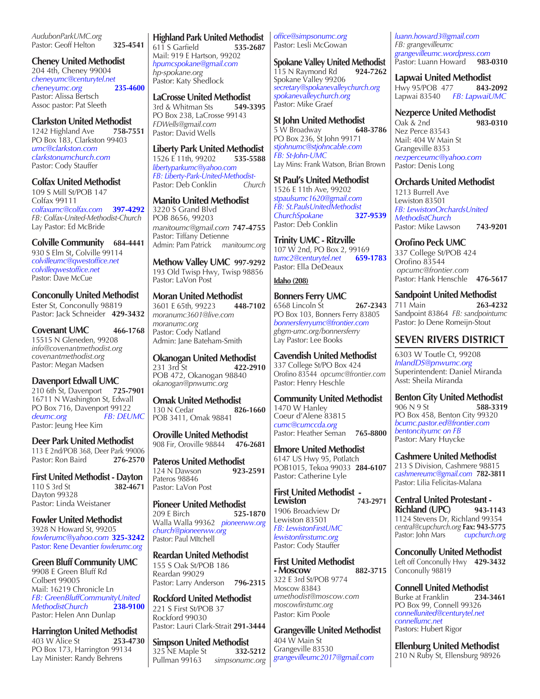*AudubonParkUMC.org*  Pastor: Geoff Helton<sup>3</sup> 325-4541

**Cheney United Methodist** 204 4th, Cheney 99004 *cheneyumc@centurytel.net cheneyumc.org* **235-4600** Pastor: Alissa Bertsch Assoc pastor: Pat Sleeth

**Clarkston United Methodist**<br>1242 Highland Ave 758-7551 1242 Highland Ave

PO Box 183, Clarkston 99403 *umc@clarkston.com clarkstonumchurch.com* Pastor: Cody Stauffer

**Colfax United Methodist** 109 S Mill St/POB 147 Colfax 99111 *colfaxumc@colfax.com* **397-4292** *FB: Colfax-United-Methodist-Church*  Lay Pastor: Ed McBride

**Colville Community 684-4441** 930 S Elm St, Colville 99114

*colvilleumc@qwestoffice.net colvilleqwestoffice.net* Pastor: Dave McCue

**Conconully United Methodist** Ester St, Conconully 98819 Pastor: Jack Schneider **429-3432**

**Covenant UMC 466-1768** 15515 N Gleneden, 99208 *info@covenantmethodist.org covenantmethodist.org* Pastor: Megan Madsen

**Davenport Edwall UMC** 210 6th St, Davenport **725-7901** 16711 N Washington St, Edwall PO Box 716, Davenport 99122 *deumc.org FB: DEUMC* Pastor: Jeung Hee Kim

**Deer Park United Methodist** 113 E 2nd/POB 368, Deer Park 99006 Pastor: Ron Baird **276-2570**

**First United Methodist - Dayton** 110 S 3rd St **382-4671** Dayton 99328 Pastor: Linda Weistaner

**Fowler United Methodist** 3928 N Howard St, 99205 *fowlerumc@yahoo.com* **325-3242** Pastor: Rene Devantier *fowlerumc.org*

**Green Bluff Community UMC** 9908 E Green Bluff Rd Colbert 99005 Mail: 16219 Chronicle Ln *FB: GreenBluffCommunityUnited MethodistChurch* **238-9100** Pastor: Helen Ann Dunlap

**Harrington United Methodist**<br>403 W Alice St 253-4730 403 W Alice St **253-4730** PO Box 173, Harrington 99134 Lay Minister: Randy Behrens

**Highland Park United Methodist** 611 S Garfield **535-2687** Mail: 919 E Hartson, 99202 *hpumcspokane@gmail.com hp-spokane.org* Pastor: Katy Shedlock

**LaCrosse United Methodist**  3rd & Whitman Sts **549-3395** PO Box 238, LaCrosse 99143 *FDWells@gmail.com* Pastor: David Wells

**Liberty Park United Methodist** 1526 E 11th, 99202 **535-5588** *libertyparkumc@yahoo.com FB: Liberty-Park-United-Methodist-*Pastor: Deb Conklin

**Manito United Methodist** 3220 S Grand Blvd POB 8656, 99203 *manitoumc@gmail.com* **747-4755** Pastor: Tiffany Detienne Admin: Pam Patrick *manitoumc.org*

**Methow Valley UMC 997-9292** 193 Old Twisp Hwy, Twisp 98856 Pastor: LaVon Post

**Moran United Methodist**<br>3601 E 65th, 99223 448-7102 3601 E 65th*,* 99223 **448-7102** *moranumc3601@live.com moranumc.org* Pastor: Cody Natland Admin: Jane Bateham-Smith

**Okanogan United Methodist**<br>231 3rd St 422-2910 231 3rd St **422-2910** POB 472, Okanogan 98840 *okanogan@pnwumc.org*

**Omak United Methodist** 130 N Cedar **826-1660** POB 3411, Omak 98841

**Oroville United Methodist** 908 Fir, Oroville 98844 **476-2681**

**Pateros United Methodist**<br>124 N Dawson<br>923-2591 124 N Dawson Pateros 98846 Pastor: LaVon Post

**Pioneer United Methodist**<br>
209 E Birch **525-1870** 209 E Birch **525-1870** Walla Walla 99362 *pioneerww.org church@pioneerww.org* Pastor: Paul MItchell

**Reardan United Methodist** 155 S Oak St/POB 186 Reardan 99029 Pastor: Larry Anderson **796-2315**

**Rockford United Methodist** 221 S First St/POB 37 Rockford 99030 Pastor: Lauri Clark-Strait **291-3444**

**Simpson United Methodist**<br>325 NE Maple St 332-5212 325 NE Maple St Pullman 99163 *simpsonumc.org* *office@simpsonumc.org* Pastor: Lesli McGowan

**Spokane Valley United Methodist**<br>115 N Raymond Rd 924-7262 115 N Raymond Rd Spokane Valley 99206 *secretary@spokanevalleychurch.org spokanevalleychurch.org* Pastor: Mike Graef

**St John United Methodist**<br>5 W Broadway 648-3786 5 W Broadway PO Box 236, St John 99171 *stjohnumc@stjohncable.com FB: St-John-UMC* Lay Mins: Frank Watson, Brian Brown

**St Paul's United Methodist** 1526 E 11th Ave, 99202 *stpaulsumc1620@gmail.com FB: St.PaulsUnitedMethodist ChurchSpokane* **327-9539** Pastor: Deb Conklin

**Trinity UMC - Ritzville** 107 W 2nd, PO Box 2, 99169<br>tumc2@centurytel.net 659-1783 *tumc2@centurytel.net* **659-1783** Pastor: Ella DeDeaux

#### **Idaho (208)**

**Bonners Ferry UMC** 6568 Lincoln St **267-2343**  PO Box 103, Bonners Ferry 83805 *bonnersferryumc@frontier.com gbgm-umc.org/bonnersferry* Lay Pastor: Lee Books

**Cavendish United Methodist** 337 College St/PO Box 424 Orofino 83544 *opcumc@frontier.com* Pastor: Henry Heschle

**Community United Methodist** 1470 W Hanley Coeur d'Alene 83815 *cumc@cumccda.org* Pastor: Heather Seman **765-8800**

**Elmore United Methodist** 6147 US Hwy 95, Potlatch POB1015, Tekoa 99033 **284-6107** Pastor: Catherine Lyle

**First United Methodist - Lewiston 743-2971** 1906 Broadview Dr Lewiston 83501 *FB: LewistonFirstUMC lewistonfirsstumc.org* Pastor: Cody Stauffer

**First United Methodist - Moscow** 322 E 3rd St/POB 9774 Moscow 83843 *umethodist@moscow.com moscowfirstumc.org* Pastor: Kim Poole

**Grangeville United Methodist** 404 W Main St Grangeville 83530 *grangevilleumc2017@gmail.com*

*luann.howard3@gmail.com FB: grangevilleumc grangevilleumc.wordpress.com* Pastor: Luann Howard **983-0310** 

**Lapwai United Methodist**

Hwy 95/POB 477 **843-2092** Lapwai 83540 *FB: LapwaiUMC*

**Nezperce United Methodist** Oak & 2nd **983-0310** Nez Perce 83543 Mail: 404 W Main St Grangeville 8353 *nezperceumc@yahoo.com*  Pastor: Denis Long

**Orchards United Methodist** 

1213 Burrell Ave Lewiston 83501 *FB: LewistonOrchardsUnited MethodistChurch*  Pastor: Mike Lawson **743-9201**

**Orofino Peck UMC** 337 College St/POB 424 Orofino 83544 *opcumc@frontier.com* Pastor: Hank Henschle **476-5617**

**Sandpoint United Methodist** 711 Main **263-4232** Sandpoint 83864 *FB: sandpointumc* Pastor: Jo Dene Romeijn-Stout

# **SEVEN RIVERS DISTRICT**

6303 W Toutle Ct, 99208 *InlandDS@pnwumc.org* Superintendent: Daniel Miranda Asst: Sheila Miranda

**Benton City United Methodist** 906 N 9 St PO Box 458, Benton City 99320 *bcumc.pastor.ed@frontier.com bentoncityumc on FB* Pastor: Mary Huycke

**Cashmere United Methodist** 213 S Division, Cashmere 98815 *cashmereumc@gmail.com* **782-3811** Pastor: Lilia Felicitas-Malana

**Central United Protestant - Richland (UPC) 943-1143** 1124 Stevens Dr, Richland 99354 *central@cupchurch.org* **Fax: 943-5775** Pastor: John Mars

**Conconully United Methodist** Left off Conconully Hwy **429-3432** Conconully 98819

**Connell United Methodist**<br>Burke at Franklin **234-3461** Burke at Franklin **234-3461** PO Box 99, Connell 99326 *connellunited@centurytel.net connellumc.net* Pastors: Hubert Rigor

**Ellenburg United Methodist** 210 N Ruby St, Ellensburg 98926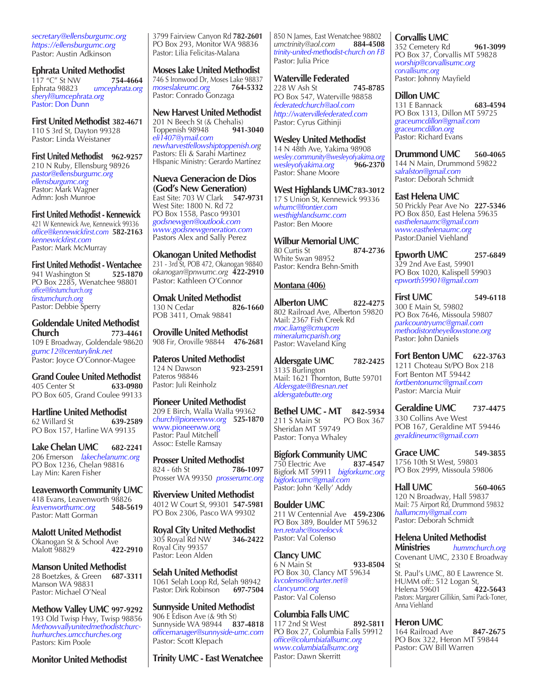*secretary@ellensburgumc.org https://ellensburgumc.org* Pastor: Austin Adkinson

**Ephrata United Methodist**<br>117 "C" St NW 117 "C" St NW<br>**Ephrata 98823** Ephrata 98823 *umcephrata.org sheryl@umcephrata.org* Pastor: Don Dunn

**First United Methodist 382-4671** 110 S 3rd St, Dayton 99328 Pastor: Linda Weistaner

**First United Methodist 962-9257** 210 N Ruby, Ellensburg 98926 *pastor@ellensburgumc.org ellensburgumc.org* Pastor: Mark Wagner Admn: Josh Munroe

**First United Methodist - Kennewick** 421 W Kennewick Ave, Kennewick 99336 *office@kennewickfirst.com* **582-2163** *kennewickfirst.com* Pastor: Mark McMurray

**First United Methodist - Wentachee** 941 Washington St **525-1870** PO Box 2285, Wenatchee 98801 *office@firstumchurch.org firstumchurch.org* Pastor: Debbie Sperry

**Goldendale United Methodist Church 773-4461** 109 E Broadway, Goldendale 98620 *gumc12@centurylink.net*  Pastor: Joyce O'Connor-Magee

**Grand Coulee United Methodist** 405 Center St **633-0980** PO Box 605, Grand Coulee 99133

**Hartline United Methodist**<br>62 Willard St 639-2589 62 Willard St **639-2589** PO Box 157, Harline WA 99135

**Lake Chelan UMC 682-2241** 206 Emerson *lakechelanumc.org* PO Box 1236, Chelan 98816 Lay Min: Karen Fisher

**Leavenworth Community UMC** 418 Evans, Leavenworth 98826<br>*leavenworthumc.org* 548-5619 *leavenworthumc.org* **548-5619** Pastor: Matt Gorman

**Malott United Methodist** Okanogan St & School Ave<br>Malott 98829 **422-2910 Malott** 98829

**Manson United Methodist** 28 Boetzkes, & Green **687-3311** Manson WA 98831 Pastor: Michael O'Neal

**Methow Valley UMC 997-9292** 193 Old Twisp Hwy, Twisp 98856 *Methowvallyunitedmethodistchurchurhurches.umcchurches.org* Pastors: Kim Poole

**Monitor United Methodist**

3799 Fairview Canyon Rd **782-2601** PO Box 293, Monitor WA 98836 Pastor: Lilia Felicitas-Malana

**Moses Lake United Methodist** 746 S Ironwood Dr, Moses Lake 98837<br>moseslakeumc.org 764-5332 *moseslakeumc.org* **764-5332** Pastor: Conrado Gonzaga

**New Harvest United Methodist** 201 N Beech St (& Chehalis)<br>Toppenish 98948 941-3040 Toppenish 98948 *eli1407@ymail.com newharvestfellowshiptoppenish.org* Pastors: Eli & Sarahi Martinez HIspanic Ministry: Gerardo Martínez

**Nueva Generacion de Dios (God's New Generation)** East Site: 703 W Clark **547-9731** West Site: 1800 N. Rd 72 PO Box 1558, Pasco 99301 *godsnewgen@outlook.com www.godsnewgeneration.com* Pastors Alex and Sally Perez

**Okanogan United Methodist** 231 - 3rd St, POB 472, Okanogan 98840 *okanogan@pnwumc.org* **422-2910** Pastor: Kathleen O'Connor

**Omak United Methodist**<br>130 N Cedar **826-1660** 130 N Cedar POB 3411, Omak 98841

**Oroville United Methodist** 908 Fir, Oroville 98844 **476-2681**

**Pateros United Methodist**<br>124 N Dawson 923-2591 124 N Dawson Pateros 98846 Pastor: Juli Reinholz

**Pioneer United Methodist**  209 E Birch, Walla Walla 99362 *church@pioneerww.org* **525-1870** www.pioneerww.org Pastor: Paul Mitchell Assoc: Estelle Ramsay

**Prosser United Methodist**<br>824 - 6th St 786-1097 824 - 6th St **786-1097** Prosser WA 99350 *prosserumc.org*

**Riverview United Methodist** 4012 W Court St, 99301 **547-5981** PO Box 2306, Pasco WA 99302

**Royal City United Methodist**<br>305 Royal Rd NW 346-2422 305 Royal Rd NW **346-2422** Royal City 99357 Pastor: Leon Alden

**Selah United Methodist** 1061 Selah Loop Rd, Selah 98942<br>Pastor: Dirk Robinson 697-7504 Pastor: Dirk Robinson

**Sunnyside United Methodist** 906 E Edison Ave (& 9th St) Sunnyside WA 98944 **837-4818** *officemanager@sunnyside-umc.com* Pastor: Scott Klepach

**Trinity UMC - East Wenatchee**

850 N James, East Wenatchee 98802<br>umctrinity@aol.com 884-4508 *umctrinity@aol.com* **884-4508** *trinity-united-methodist-church on FB* Pastor: Julia Price

**Waterville Federated** 228 W Ash St **745-8785**  PO Box 547, Waterville 98858 *federatedchurch@aol.com http://watervillefederated.com* Pastor: Cyrus Githinji

**Wesley United Methodist** 14 N 48th Ave, Yakima 98908 *wesley.community@wesleyofyakima.org wesleyofyakima.org* **966-2370**  Pastor: Shane Moore

**West Highlands UMC783-3012** 17 S Union St, Kennewick 99336 *whumc@frontier.com westhighlandsumc.com* Pastor: Ben Moore

**Wilbur Memorial UMC** 80 Curtis St **874-2736**  White Swan 98952 Pastor: Kendra Behn-Smith

#### **Montana (406)**

**Alberton UMC 822-4275** 802 Railroad Ave, Alberton 59820 Mail: 2367 Fish Creek Rd *moc.liamg@cmupcm mineralumcparish.org* Pastor: Waveland King

**Aldersgate UMC 782-2425** 3135 Burlington Mail: 1621 Thornton, Butte 59701 *Aldersgate@Bresnan.net aldersgatebutte.org*

**Bethel UMC - MT** 842-5934<br>211 S Main St PO Box 367  $211$  S Main St Sheridan MT 59749 Pastor: Tonya Whaley

**Bigfork Community UMC** 750 Electric Ave **837-4547** Bigfork MT 59911 *bigforkumc.org bigforkcumc@gmail.com* Pastor: John 'Kelly' Addy

**Boulder UMC** 211 W Centennial Ave **459-2306** PO Box 389, Boulder MT 59632 *ten.retrahc@osnelocvk* Pastor: Val Colenso

**Clancy UMC** 6 N Main St **933-8504** PO Box 30, Clancy MT 59634 *kvcolenso@charter.net@ clancyumc.org* Pastor: Val Colenso

**Columbia Falls UMC** 117 2nd St West **892-5811** PO Box 27, Columbia Falls 59912 *office@columbiafallsumc.org www.columbiafallsumc.org* Pastor: Dawn Skerritt

**Corvallis UMC**

352 Cemetery Rd **961-3099** PO Box 37, Corvallis MT 59828 *worship@corvallisumc.org corvallisumc.org* Pastor: Johnny Mayfield

#### **Dillon UMC**

131 E Bannack **683-4594** PO Box 1313, Dillon MT 59725 *graceumcdillon@gmail.com graceumcdillon.org* Pastor: Richard Evans

**Drummond UMC 560-4065** 144 N Main, Drummond 59822 *salralston@gmail.com* Pastor: Deborah Schmidt

**East Helena UMC**

50 Prickly Pear Ave No **227-5346** PO Box 850, East Helena 59635 *easthelenaumc@gmail.com www.easthelenaumc.org* Pastor:Daniel Viehland

**Epworth UMC 257-6849** 329 2nd Ave East, 59901 PO Box 1020, Kalispell 59903 *epworth59901@gmail.com*

**First UMC 549-6118** 300 E Main St, 59802 PO Box 7646, Missoula 59807 *parkcountryumc@gmail.com methodistontheyellowstone.org* Pastor: John Daniels

**Fort Benton UMC 622-3763** 1211 Choteau St/PO Box 218 Fort Benton MT 59442 *fortbentonumc@gmail.com* Pastor: Marcia Muir

**Geraldine UMC 737-4475** 330 Collins Ave West POB 167, Geraldine MT 59446 *geraldineumc@gmail.com*

**Grace UMC 549-3855** 1756 10th St West, 59803 PO Box 2999, Missoula 59806

**Hall UMC 560-4065** 120 N Broadway, Hall 59837 Mail: 75 Airport Rd, Drummond 59832 *hallumcmy@gmail.com* Pastor: Deborah Schmidt

**Helena United Methodist Ministries** *hummchurch.org* Covenant UMC, 2330 E Broadway

St St. Paul's UMC, 80 E Lawrence St. HUMM off:: 512 Logan St,<br>Helena 59601 **422-5643** Helena 59601 **422-5643** Pastors: Margarer Gillikin, Sami Pack-Toner, Anna Viehland

**Heron UMC** 164 Railroad Ave **847-2675** PO Box 322, Heron MT 59844 Pastor: GW Bill Warren